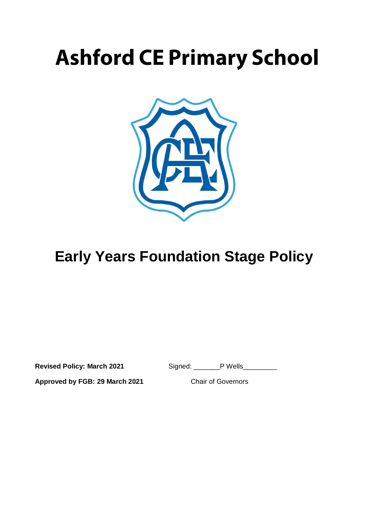# **Ashford CE Primary School**



## **Early Years Foundation Stage Policy**

**Revised Policy: March 2021** Signed: \_\_\_\_\_\_P Wells\_\_\_\_\_\_

**Approved by FGB: 29 March 2021** Chair of Governors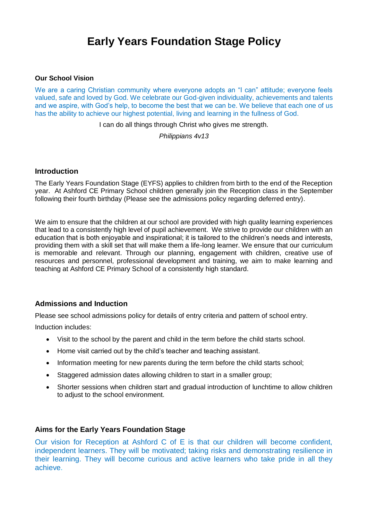### **Early Years Foundation Stage Policy**

#### **Our School Vision**

We are a caring Christian community where everyone adopts an "I can" attitude; everyone feels valued, safe and loved by God. We celebrate our God-given individuality, achievements and talents and we aspire, with God's help, to become the best that we can be. We believe that each one of us has the ability to achieve our highest potential, living and learning in the fullness of God.

I can do all things through Christ who gives me strength.

*Philippians 4v13*

#### **Introduction**

The Early Years Foundation Stage (EYFS) applies to children from birth to the end of the Reception year. At Ashford CE Primary School children generally join the Reception class in the September following their fourth birthday (Please see the admissions policy regarding deferred entry).

We aim to ensure that the children at our school are provided with high quality learning experiences that lead to a consistently high level of pupil achievement. We strive to provide our children with an education that is both enjoyable and inspirational; it is tailored to the children's needs and interests, providing them with a skill set that will make them a life-long learner. We ensure that our curriculum is memorable and relevant. Through our planning, engagement with children, creative use of resources and personnel, professional development and training, we aim to make learning and teaching at Ashford CE Primary School of a consistently high standard.

#### **Admissions and Induction**

Please see school admissions policy for details of entry criteria and pattern of school entry.

Induction includes:

- Visit to the school by the parent and child in the term before the child starts school.
- Home visit carried out by the child's teacher and teaching assistant.
- Information meeting for new parents during the term before the child starts school;
- Staggered admission dates allowing children to start in a smaller group;
- Shorter sessions when children start and gradual introduction of lunchtime to allow children to adjust to the school environment.

#### **Aims for the Early Years Foundation Stage**

Our vision for Reception at Ashford C of E is that our children will become confident, independent learners. They will be motivated; taking risks and demonstrating resilience in their learning. They will become curious and active learners who take pride in all they achieve.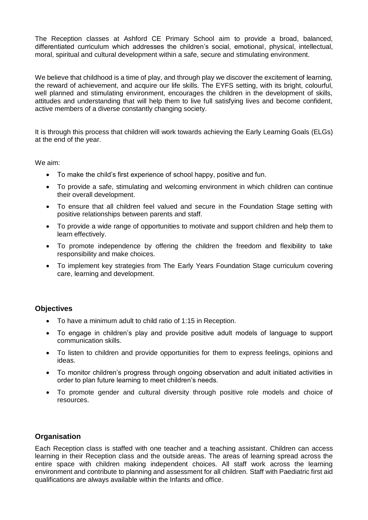The Reception classes at Ashford CE Primary School aim to provide a broad, balanced, differentiated curriculum which addresses the children's social, emotional, physical, intellectual, moral, spiritual and cultural development within a safe, secure and stimulating environment.

We believe that childhood is a time of play, and through play we discover the excitement of learning, the reward of achievement, and acquire our life skills. The EYFS setting, with its bright, colourful, well planned and stimulating environment, encourages the children in the development of skills, attitudes and understanding that will help them to live full satisfying lives and become confident, active members of a diverse constantly changing society.

It is through this process that children will work towards achieving the Early Learning Goals (ELGs) at the end of the year.

We aim:

- To make the child's first experience of school happy, positive and fun.
- To provide a safe, stimulating and welcoming environment in which children can continue their overall development.
- To ensure that all children feel valued and secure in the Foundation Stage setting with positive relationships between parents and staff.
- To provide a wide range of opportunities to motivate and support children and help them to learn effectively.
- To promote independence by offering the children the freedom and flexibility to take responsibility and make choices.
- To implement key strategies from The Early Years Foundation Stage curriculum covering care, learning and development.

#### **Objectives**

- To have a minimum adult to child ratio of 1:15 in Reception.
- To engage in children's play and provide positive adult models of language to support communication skills.
- To listen to children and provide opportunities for them to express feelings, opinions and ideas.
- To monitor children's progress through ongoing observation and adult initiated activities in order to plan future learning to meet children's needs.
- To promote gender and cultural diversity through positive role models and choice of resources.

#### **Organisation**

Each Reception class is staffed with one teacher and a teaching assistant. Children can access learning in their Reception class and the outside areas. The areas of learning spread across the entire space with children making independent choices. All staff work across the learning environment and contribute to planning and assessment for all children. Staff with Paediatric first aid qualifications are always available within the Infants and office.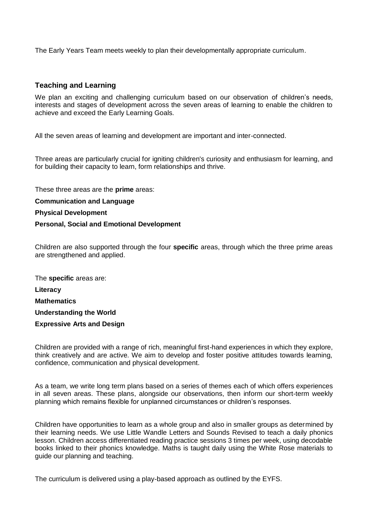The Early Years Team meets weekly to plan their developmentally appropriate curriculum.

#### **Teaching and Learning**

We plan an exciting and challenging curriculum based on our observation of children's needs, interests and stages of development across the seven areas of learning to enable the children to achieve and exceed the Early Learning Goals.

All the seven areas of learning and development are important and inter-connected.

Three areas are particularly crucial for igniting children's curiosity and enthusiasm for learning, and for building their capacity to learn, form relationships and thrive.

These three areas are the **prime** areas:

**Communication and Language**

**Physical Development**

#### **Personal, Social and Emotional Development**

Children are also supported through the four **specific** areas, through which the three prime areas are strengthened and applied.

The **specific** areas are: **Literacy Mathematics Understanding the World Expressive Arts and Design**

Children are provided with a range of rich, meaningful first-hand experiences in which they explore, think creatively and are active. We aim to develop and foster positive attitudes towards learning, confidence, communication and physical development.

As a team, we write long term plans based on a series of themes each of which offers experiences in all seven areas. These plans, alongside our observations, then inform our short-term weekly planning which remains flexible for unplanned circumstances or children's responses.

Children have opportunities to learn as a whole group and also in smaller groups as determined by their learning needs. We use Little Wandle Letters and Sounds Revised to teach a daily phonics lesson. Children access differentiated reading practice sessions 3 times per week, using decodable books linked to their phonics knowledge. Maths is taught daily using the White Rose materials to guide our planning and teaching.

The curriculum is delivered using a play-based approach as outlined by the EYFS.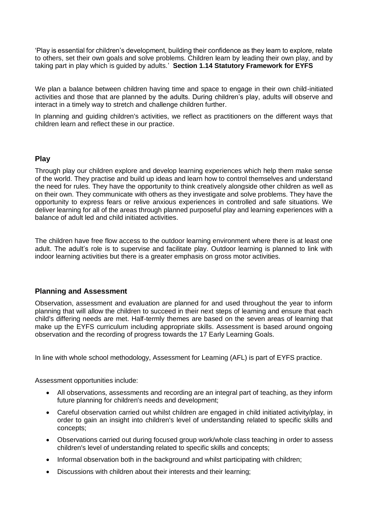'Play is essential for children's development, building their confidence as they learn to explore, relate to others, set their own goals and solve problems. Children learn by leading their own play, and by taking part in play which is guided by adults.' **Section 1.14 Statutory Framework for EYFS** 

We plan a balance between children having time and space to engage in their own child-initiated activities and those that are planned by the adults. During children's play, adults will observe and interact in a timely way to stretch and challenge children further.

In planning and guiding children's activities, we reflect as practitioners on the different ways that children learn and reflect these in our practice.

#### **Play**

Through play our children explore and develop learning experiences which help them make sense of the world. They practise and build up ideas and learn how to control themselves and understand the need for rules. They have the opportunity to think creatively alongside other children as well as on their own. They communicate with others as they investigate and solve problems. They have the opportunity to express fears or relive anxious experiences in controlled and safe situations. We deliver learning for all of the areas through planned purposeful play and learning experiences with a balance of adult led and child initiated activities.

The children have free flow access to the outdoor learning environment where there is at least one adult. The adult's role is to supervise and facilitate play. Outdoor learning is planned to link with indoor learning activities but there is a greater emphasis on gross motor activities.

#### **Planning and Assessment**

Observation, assessment and evaluation are planned for and used throughout the year to inform planning that will allow the children to succeed in their next steps of learning and ensure that each child's differing needs are met. Half-termly themes are based on the seven areas of learning that make up the EYFS curriculum including appropriate skills. Assessment is based around ongoing observation and the recording of progress towards the 17 Early Learning Goals.

In line with whole school methodology, Assessment for Learning (AFL) is part of EYFS practice.

Assessment opportunities include:

- All observations, assessments and recording are an integral part of teaching, as they inform future planning for children's needs and development;
- Careful observation carried out whilst children are engaged in child initiated activity/play, in order to gain an insight into children's level of understanding related to specific skills and concepts;
- Observations carried out during focused group work/whole class teaching in order to assess children's level of understanding related to specific skills and concepts;
- Informal observation both in the background and whilst participating with children;
- Discussions with children about their interests and their learning;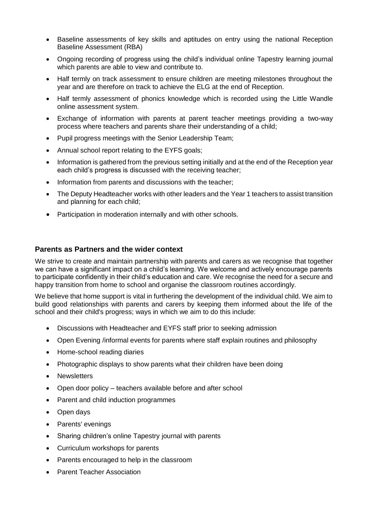- Baseline assessments of key skills and aptitudes on entry using the national Reception Baseline Assessment (RBA)
- Ongoing recording of progress using the child's individual online Tapestry learning journal which parents are able to view and contribute to.
- Half termly on track assessment to ensure children are meeting milestones throughout the year and are therefore on track to achieve the ELG at the end of Reception.
- Half termly assessment of phonics knowledge which is recorded using the Little Wandle online assessment system.
- Exchange of information with parents at parent teacher meetings providing a two-way process where teachers and parents share their understanding of a child;
- Pupil progress meetings with the Senior Leadership Team;
- Annual school report relating to the EYFS goals;
- Information is gathered from the previous setting initially and at the end of the Reception year each child's progress is discussed with the receiving teacher;
- Information from parents and discussions with the teacher;
- The Deputy Headteacher works with other leaders and the Year 1 teachers to assist transition and planning for each child;
- Participation in moderation internally and with other schools.

#### **Parents as Partners and the wider context**

We strive to create and maintain partnership with parents and carers as we recognise that together we can have a significant impact on a child's learning. We welcome and actively encourage parents to participate confidently in their child's education and care. We recognise the need for a secure and happy transition from home to school and organise the classroom routines accordingly.

We believe that home support is vital in furthering the development of the individual child. We aim to build good relationships with parents and carers by keeping them informed about the life of the school and their child's progress; ways in which we aim to do this include:

- Discussions with Headteacher and EYFS staff prior to seeking admission
- Open Evening /informal events for parents where staff explain routines and philosophy
- Home-school reading diaries
- Photographic displays to show parents what their children have been doing
- Newsletters
- Open door policy teachers available before and after school
- Parent and child induction programmes
- Open days
- Parents' evenings
- Sharing children's online Tapestry journal with parents
- Curriculum workshops for parents
- Parents encouraged to help in the classroom
- Parent Teacher Association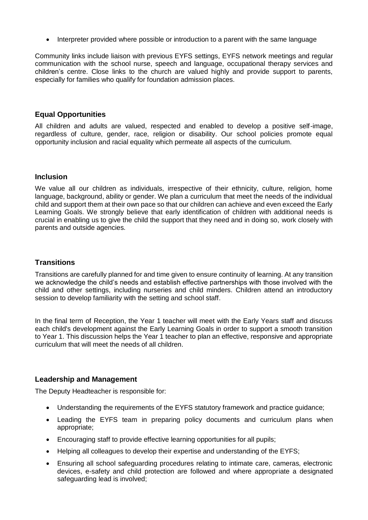• Interpreter provided where possible or introduction to a parent with the same language

Community links include liaison with previous EYFS settings, EYFS network meetings and regular communication with the school nurse, speech and language, occupational therapy services and children's centre. Close links to the church are valued highly and provide support to parents, especially for families who qualify for foundation admission places.

#### **Equal Opportunities**

All children and adults are valued, respected and enabled to develop a positive self-image, regardless of culture, gender, race, religion or disability. Our school policies promote equal opportunity inclusion and racial equality which permeate all aspects of the curriculum.

#### **Inclusion**

We value all our children as individuals, irrespective of their ethnicity, culture, religion, home language, background, ability or gender. We plan a curriculum that meet the needs of the individual child and support them at their own pace so that our children can achieve and even exceed the Early Learning Goals. We strongly believe that early identification of children with additional needs is crucial in enabling us to give the child the support that they need and in doing so, work closely with parents and outside agencies.

#### **Transitions**

Transitions are carefully planned for and time given to ensure continuity of learning. At any transition we acknowledge the child's needs and establish effective partnerships with those involved with the child and other settings, including nurseries and child minders. Children attend an introductory session to develop familiarity with the setting and school staff.

In the final term of Reception, the Year 1 teacher will meet with the Early Years staff and discuss each child's development against the Early Learning Goals in order to support a smooth transition to Year 1. This discussion helps the Year 1 teacher to plan an effective, responsive and appropriate curriculum that will meet the needs of all children.

#### **Leadership and Management**

The Deputy Headteacher is responsible for:

- Understanding the requirements of the EYFS statutory framework and practice guidance;
- Leading the EYFS team in preparing policy documents and curriculum plans when appropriate;
- Encouraging staff to provide effective learning opportunities for all pupils;
- Helping all colleagues to develop their expertise and understanding of the EYFS;
- Ensuring all school safeguarding procedures relating to intimate care, cameras, electronic devices, e-safety and child protection are followed and where appropriate a designated safeguarding lead is involved;